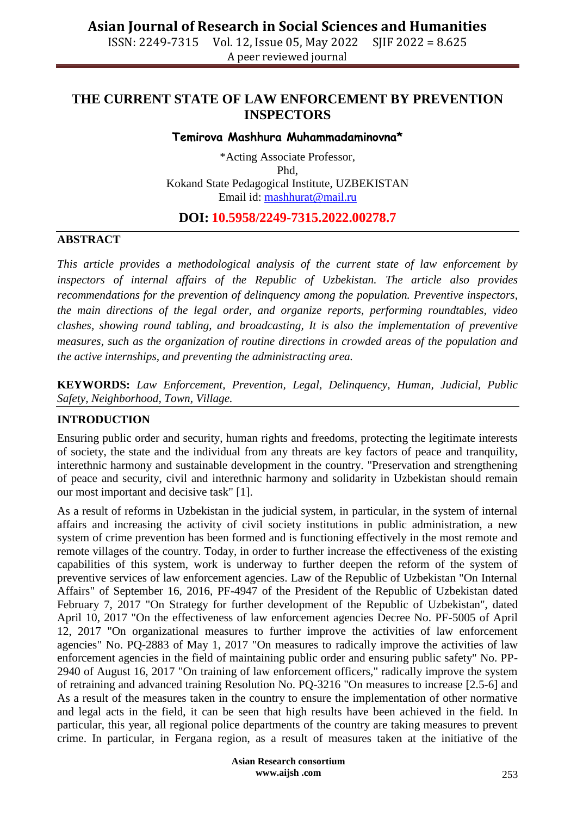## **THE CURRENT STATE OF LAW ENFORCEMENT BY PREVENTION INSPECTORS**

#### **Temirova Mashhura Muhammadaminovna\***

\*Acting Associate Professor, Phd, Kokand State Pedagogical Institute, UZBEKISTAN Email id: [mashhurat@mail.ru](mailto:mashhurat@mail.ru)

### **DOI: 10.5958/2249-7315.2022.00278.7**

#### **ABSTRACT**

*This article provides a methodological analysis of the current state of law enforcement by inspectors of internal affairs of the Republic of Uzbekistan. The article also provides recommendations for the prevention of delinquency among the population. Preventive inspectors, the main directions of the legal order, and organize reports, performing roundtables, video clashes, showing round tabling, and broadcasting, It is also the implementation of preventive measures, such as the organization of routine directions in crowded areas of the population and the active internships, and preventing the administracting area.*

**KEYWORDS:** *Law Enforcement, Prevention, Legal, Delinquency, Human, Judicial, Public Safety, Neighborhood, Town, Village.*

### **INTRODUCTION**

Ensuring public order and security, human rights and freedoms, protecting the legitimate interests of society, the state and the individual from any threats are key factors of peace and tranquility, interethnic harmony and sustainable development in the country. "Preservation and strengthening of peace and security, civil and interethnic harmony and solidarity in Uzbekistan should remain our most important and decisive task" [1].

As a result of reforms in Uzbekistan in the judicial system, in particular, in the system of internal affairs and increasing the activity of civil society institutions in public administration, a new system of crime prevention has been formed and is functioning effectively in the most remote and remote villages of the country. Today, in order to further increase the effectiveness of the existing capabilities of this system, work is underway to further deepen the reform of the system of preventive services of law enforcement agencies. Law of the Republic of Uzbekistan "On Internal Affairs" of September 16, 2016, PF-4947 of the President of the Republic of Uzbekistan dated February 7, 2017 "On Strategy for further development of the Republic of Uzbekistan", dated April 10, 2017 "On the effectiveness of law enforcement agencies Decree No. PF-5005 of April 12, 2017 "On organizational measures to further improve the activities of law enforcement agencies" No. PQ-2883 of May 1, 2017 "On measures to radically improve the activities of law enforcement agencies in the field of maintaining public order and ensuring public safety" No. PP-2940 of August 16, 2017 "On training of law enforcement officers," radically improve the system of retraining and advanced training Resolution No. PQ-3216 "On measures to increase [2.5-6] and As a result of the measures taken in the country to ensure the implementation of other normative and legal acts in the field, it can be seen that high results have been achieved in the field. In particular, this year, all regional police departments of the country are taking measures to prevent crime. In particular, in Fergana region, as a result of measures taken at the initiative of the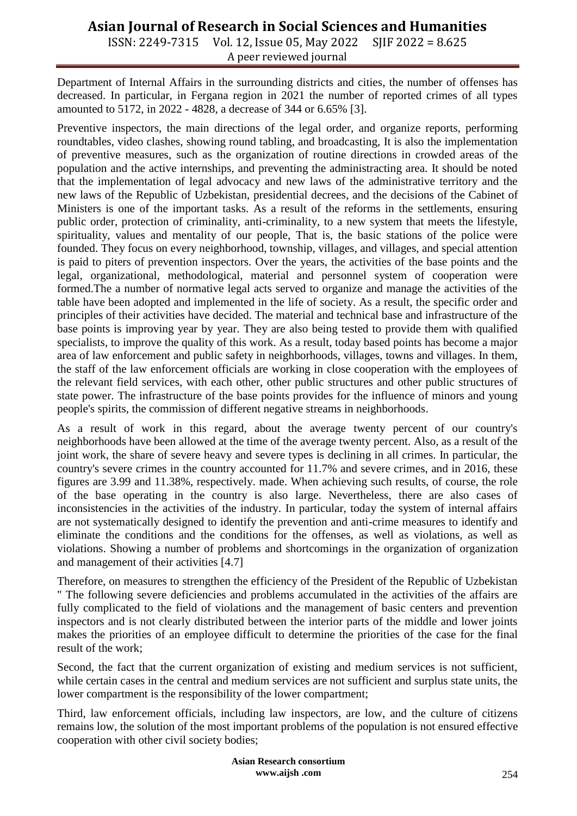# **Asian Journal of Research in Social Sciences and Humanities**

ISSN: 2249-7315 Vol. 12, Issue 05, May 2022 SJIF 2022 = 8.625 A peer reviewed journal

Department of Internal Affairs in the surrounding districts and cities, the number of offenses has decreased. In particular, in Fergana region in 2021 the number of reported crimes of all types amounted to 5172, in 2022 - 4828, a decrease of 344 or 6.65% [3].

Preventive inspectors, the main directions of the legal order, and organize reports, performing roundtables, video clashes, showing round tabling, and broadcasting, It is also the implementation of preventive measures, such as the organization of routine directions in crowded areas of the population and the active internships, and preventing the administracting area. It should be noted that the implementation of legal advocacy and new laws of the administrative territory and the new laws of the Republic of Uzbekistan, presidential decrees, and the decisions of the Cabinet of Ministers is one of the important tasks. As a result of the reforms in the settlements, ensuring public order, protection of criminality, anti-criminality, to a new system that meets the lifestyle, spirituality, values and mentality of our people, That is, the basic stations of the police were founded. They focus on every neighborhood, township, villages, and villages, and special attention is paid to piters of prevention inspectors. Over the years, the activities of the base points and the legal, organizational, methodological, material and personnel system of cooperation were formed.The a number of normative legal acts served to organize and manage the activities of the table have been adopted and implemented in the life of society. As a result, the specific order and principles of their activities have decided. The material and technical base and infrastructure of the base points is improving year by year. They are also being tested to provide them with qualified specialists, to improve the quality of this work. As a result, today based points has become a major area of law enforcement and public safety in neighborhoods, villages, towns and villages. In them, the staff of the law enforcement officials are working in close cooperation with the employees of the relevant field services, with each other, other public structures and other public structures of state power. The infrastructure of the base points provides for the influence of minors and young people's spirits, the commission of different negative streams in neighborhoods.

As a result of work in this regard, about the average twenty percent of our country's neighborhoods have been allowed at the time of the average twenty percent. Also, as a result of the joint work, the share of severe heavy and severe types is declining in all crimes. In particular, the country's severe crimes in the country accounted for 11.7% and severe crimes, and in 2016, these figures are 3.99 and 11.38%, respectively. made. When achieving such results, of course, the role of the base operating in the country is also large. Nevertheless, there are also cases of inconsistencies in the activities of the industry. In particular, today the system of internal affairs are not systematically designed to identify the prevention and anti-crime measures to identify and eliminate the conditions and the conditions for the offenses, as well as violations, as well as violations. Showing a number of problems and shortcomings in the organization of organization and management of their activities [4.7]

Therefore, on measures to strengthen the efficiency of the President of the Republic of Uzbekistan " The following severe deficiencies and problems accumulated in the activities of the affairs are fully complicated to the field of violations and the management of basic centers and prevention inspectors and is not clearly distributed between the interior parts of the middle and lower joints makes the priorities of an employee difficult to determine the priorities of the case for the final result of the work;

Second, the fact that the current organization of existing and medium services is not sufficient, while certain cases in the central and medium services are not sufficient and surplus state units, the lower compartment is the responsibility of the lower compartment;

Third, law enforcement officials, including law inspectors, are low, and the culture of citizens remains low, the solution of the most important problems of the population is not ensured effective cooperation with other civil society bodies;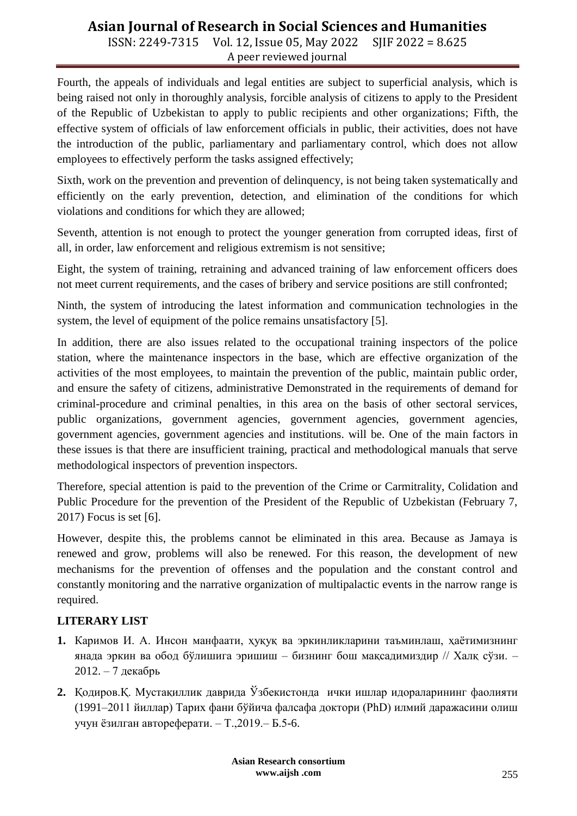## **Asian Journal of Research in Social Sciences and Humanities**

ISSN: 2249-7315 Vol. 12, Issue 05, May 2022 SJIF 2022 = 8.625 A peer reviewed journal

Fourth, the appeals of individuals and legal entities are subject to superficial analysis, which is being raised not only in thoroughly analysis, forcible analysis of citizens to apply to the President of the Republic of Uzbekistan to apply to public recipients and other organizations; Fifth, the effective system of officials of law enforcement officials in public, their activities, does not have the introduction of the public, parliamentary and parliamentary control, which does not allow employees to effectively perform the tasks assigned effectively;

Sixth, work on the prevention and prevention of delinquency, is not being taken systematically and efficiently on the early prevention, detection, and elimination of the conditions for which violations and conditions for which they are allowed;

Seventh, attention is not enough to protect the younger generation from corrupted ideas, first of all, in order, law enforcement and religious extremism is not sensitive;

Eight, the system of training, retraining and advanced training of law enforcement officers does not meet current requirements, and the cases of bribery and service positions are still confronted;

Ninth, the system of introducing the latest information and communication technologies in the system, the level of equipment of the police remains unsatisfactory [5].

In addition, there are also issues related to the occupational training inspectors of the police station, where the maintenance inspectors in the base, which are effective organization of the activities of the most employees, to maintain the prevention of the public, maintain public order, and ensure the safety of citizens, administrative Demonstrated in the requirements of demand for criminal-procedure and criminal penalties, in this area on the basis of other sectoral services, public organizations, government agencies, government agencies, government agencies, government agencies, government agencies and institutions. will be. One of the main factors in these issues is that there are insufficient training, practical and methodological manuals that serve methodological inspectors of prevention inspectors.

Therefore, special attention is paid to the prevention of the Crime or Carmitrality, Colidation and Public Procedure for the prevention of the President of the Republic of Uzbekistan (February 7, 2017) Focus is set [6].

However, despite this, the problems cannot be eliminated in this area. Because as Jamaya is renewed and grow, problems will also be renewed. For this reason, the development of new mechanisms for the prevention of offenses and the population and the constant control and constantly monitoring and the narrative organization of multipalactic events in the narrow range is required.

### **LITERARY LIST**

- **1.** Каримов И. А. Инсон манфаати, ҳуқуқ ва эркинликларини таъминлаш, ҳаётимизнинг янада эркин ва обод бўлишига эришиш – бизнинг бош мақсадимиздир // Халқ сўзи. – 2012. – 7 декабрь
- **2.** Қодиров.Қ. Мустақиллик даврида Ўзбекистонда ички ишлар идораларининг фаолияти (1991–2011 йиллар) Тарих фани бўйича фалсафа доктори (PhD) илмий даражасини олиш учун ёзилган автореферати. – Т.,2019.– Б.5-6.